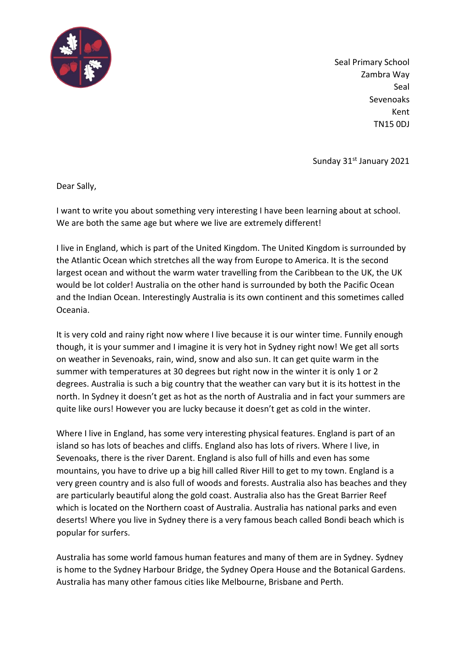

Seal Primary School Zambra Way Seal Sevenoaks Kent TN15 0DJ

Sunday 31st January 2021

Dear Sally,

I want to write you about something very interesting I have been learning about at school. We are both the same age but where we live are extremely different!

I live in England, which is part of the United Kingdom. The United Kingdom is surrounded by the Atlantic Ocean which stretches all the way from Europe to America. It is the second largest ocean and without the warm water travelling from the Caribbean to the UK, the UK would be lot colder! Australia on the other hand is surrounded by both the Pacific Ocean and the Indian Ocean. Interestingly Australia is its own continent and this sometimes called Oceania.

It is very cold and rainy right now where I live because it is our winter time. Funnily enough though, it is your summer and I imagine it is very hot in Sydney right now! We get all sorts on weather in Sevenoaks, rain, wind, snow and also sun. It can get quite warm in the summer with temperatures at 30 degrees but right now in the winter it is only 1 or 2 degrees. Australia is such a big country that the weather can vary but it is its hottest in the north. In Sydney it doesn't get as hot as the north of Australia and in fact your summers are quite like ours! However you are lucky because it doesn't get as cold in the winter.

Where I live in England, has some very interesting physical features. England is part of an island so has lots of beaches and cliffs. England also has lots of rivers. Where I live, in Sevenoaks, there is the river Darent. England is also full of hills and even has some mountains, you have to drive up a big hill called River Hill to get to my town. England is a very green country and is also full of woods and forests. Australia also has beaches and they are particularly beautiful along the gold coast. Australia also has the Great Barrier Reef which is located on the Northern coast of Australia. Australia has national parks and even deserts! Where you live in Sydney there is a very famous beach called Bondi beach which is popular for surfers.

Australia has some world famous human features and many of them are in Sydney. Sydney is home to the Sydney Harbour Bridge, the Sydney Opera House and the Botanical Gardens. Australia has many other famous cities like Melbourne, Brisbane and Perth.